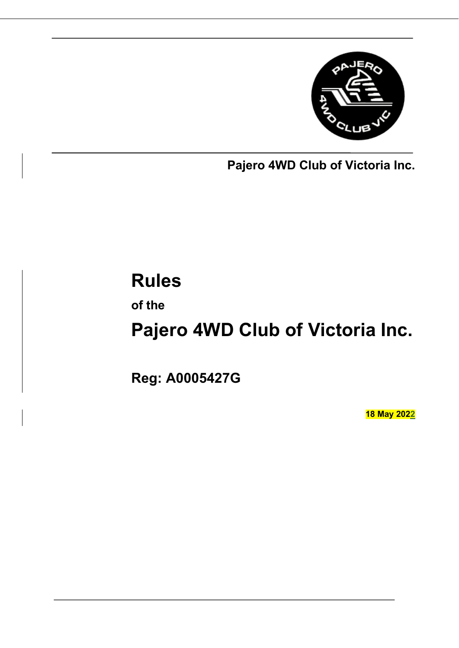

**Pajero 4WD Club of Victoria Inc.**

# **Rules**

**of the**

# **Pajero 4WD Club of Victoria Inc.**

**Reg: A0005427G**

**18 May 2022**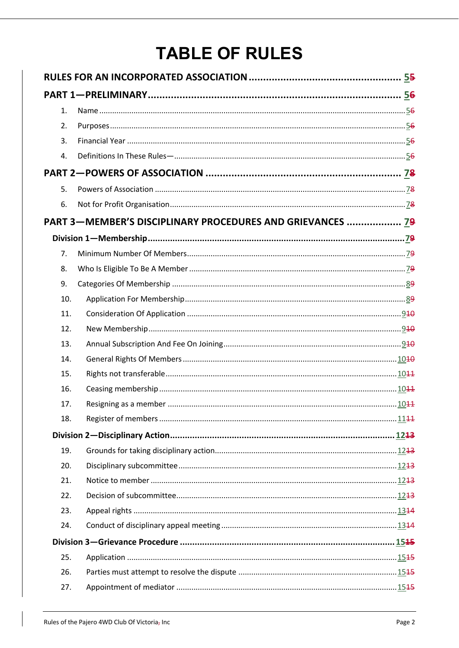# **TABLE OF RULES**

| 1.  |                                                            |  |  |  |  |
|-----|------------------------------------------------------------|--|--|--|--|
| 2.  |                                                            |  |  |  |  |
| 3.  |                                                            |  |  |  |  |
| 4.  |                                                            |  |  |  |  |
|     |                                                            |  |  |  |  |
| 5.  |                                                            |  |  |  |  |
| 6.  |                                                            |  |  |  |  |
|     | PART 3-MEMBER'S DISCIPLINARY PROCEDURES AND GRIEVANCES  79 |  |  |  |  |
|     |                                                            |  |  |  |  |
| 7.  |                                                            |  |  |  |  |
| 8.  |                                                            |  |  |  |  |
| 9.  |                                                            |  |  |  |  |
| 10. |                                                            |  |  |  |  |
| 11. |                                                            |  |  |  |  |
| 12. |                                                            |  |  |  |  |
| 13. |                                                            |  |  |  |  |
| 14. |                                                            |  |  |  |  |
| 15. |                                                            |  |  |  |  |
| 16. |                                                            |  |  |  |  |
| 17. |                                                            |  |  |  |  |
| 18. |                                                            |  |  |  |  |
|     |                                                            |  |  |  |  |
| 19. |                                                            |  |  |  |  |
| 20. |                                                            |  |  |  |  |
| 21. |                                                            |  |  |  |  |
| 22. |                                                            |  |  |  |  |
| 23. |                                                            |  |  |  |  |
| 24. |                                                            |  |  |  |  |
|     |                                                            |  |  |  |  |
| 25. |                                                            |  |  |  |  |
| 26. |                                                            |  |  |  |  |
| 27. |                                                            |  |  |  |  |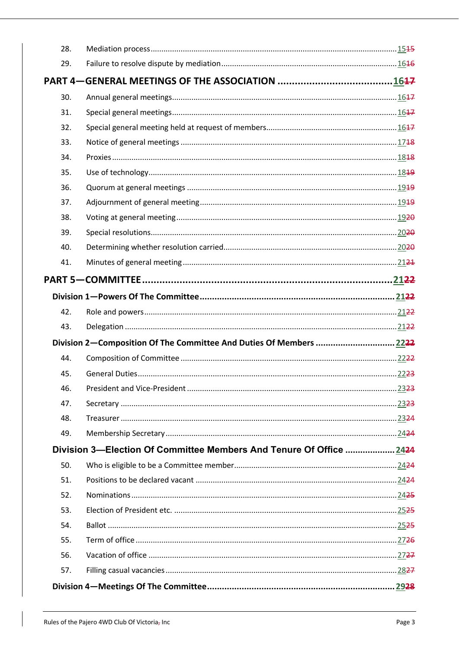| 28. |                                                                     |  |  |  |
|-----|---------------------------------------------------------------------|--|--|--|
| 29. |                                                                     |  |  |  |
|     |                                                                     |  |  |  |
| 30. |                                                                     |  |  |  |
| 31. |                                                                     |  |  |  |
| 32. |                                                                     |  |  |  |
| 33. |                                                                     |  |  |  |
| 34. |                                                                     |  |  |  |
| 35. |                                                                     |  |  |  |
| 36. |                                                                     |  |  |  |
| 37. |                                                                     |  |  |  |
| 38. |                                                                     |  |  |  |
| 39. |                                                                     |  |  |  |
| 40. |                                                                     |  |  |  |
| 41. |                                                                     |  |  |  |
|     |                                                                     |  |  |  |
|     |                                                                     |  |  |  |
| 42. |                                                                     |  |  |  |
| 43. |                                                                     |  |  |  |
|     | Division 2—Composition Of The Committee And Duties Of Members  2222 |  |  |  |
| 44. |                                                                     |  |  |  |
| 45. |                                                                     |  |  |  |
| 46. |                                                                     |  |  |  |
| 47. |                                                                     |  |  |  |
| 48. |                                                                     |  |  |  |
| 49. |                                                                     |  |  |  |
|     | Division 3-Election Of Committee Members And Tenure Of Office  2424 |  |  |  |
| 50. |                                                                     |  |  |  |
| 51. |                                                                     |  |  |  |
| 52. |                                                                     |  |  |  |
| 53. |                                                                     |  |  |  |
| 54. |                                                                     |  |  |  |
| 55. |                                                                     |  |  |  |
| 56. |                                                                     |  |  |  |
| 57. |                                                                     |  |  |  |
|     |                                                                     |  |  |  |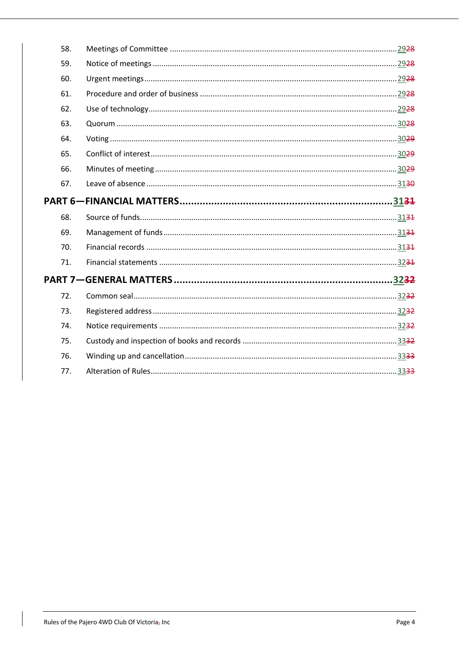|  | 58. |  |  |  |
|--|-----|--|--|--|
|  | 59. |  |  |  |
|  | 60. |  |  |  |
|  | 61. |  |  |  |
|  | 62. |  |  |  |
|  | 63. |  |  |  |
|  | 64. |  |  |  |
|  | 65. |  |  |  |
|  | 66. |  |  |  |
|  | 67. |  |  |  |
|  |     |  |  |  |
|  | 68. |  |  |  |
|  | 69. |  |  |  |
|  | 70. |  |  |  |
|  | 71. |  |  |  |
|  |     |  |  |  |
|  | 72. |  |  |  |
|  | 73. |  |  |  |
|  | 74. |  |  |  |
|  | 75. |  |  |  |
|  | 76. |  |  |  |
|  | 77. |  |  |  |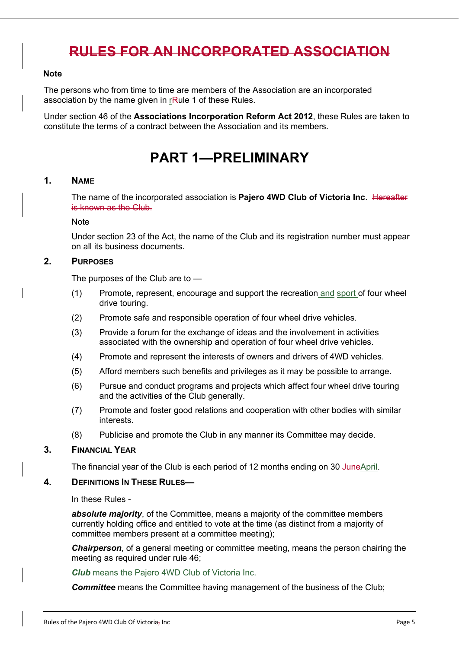### **RULES FOR AN INCORPORATED ASSOCIATION**

#### **Note**

The persons who from time to time are members of the Association are an incorporated association by the name given in rRule 1 of these Rules.

Under section 46 of the **Associations Incorporation Reform Act 2012**, these Rules are taken to constitute the terms of a contract between the Association and its members.

# **PART 1—PRELIMINARY**

#### **1. NAME**

The name of the incorporated association is **Pajero 4WD Club of Victoria Inc**. Hereafter is known as the Club.

#### Note

Under section 23 of the Act, the name of the Club and its registration number must appear on all its business documents.

#### **2. PURPOSES**

The purposes of the Club are to —

- (1) Promote, represent, encourage and support the recreation and sport of four wheel drive touring.
- (2) Promote safe and responsible operation of four wheel drive vehicles.
- (3) Provide a forum for the exchange of ideas and the involvement in activities associated with the ownership and operation of four wheel drive vehicles.
- (4) Promote and represent the interests of owners and drivers of 4WD vehicles.
- (5) Afford members such benefits and privileges as it may be possible to arrange.
- (6) Pursue and conduct programs and projects which affect four wheel drive touring and the activities of the Club generally.
- (7) Promote and foster good relations and cooperation with other bodies with similar interests.
- (8) Publicise and promote the Club in any manner its Committee may decide.

#### **3. FINANCIAL YEAR**

The financial year of the Club is each period of 12 months ending on 30 JuneApril.

#### **4. DEFINITIONS IN THESE RULES—**

In these Rules -

*absolute majority*, of the Committee, means a majority of the committee members currently holding office and entitled to vote at the time (as distinct from a majority of committee members present at a committee meeting);

*Chairperson*, of a general meeting or committee meeting, means the person chairing the meeting as required under rule 46;

*Club* means the Pajero 4WD Club of Victoria Inc.

**Committee** means the Committee having management of the business of the Club;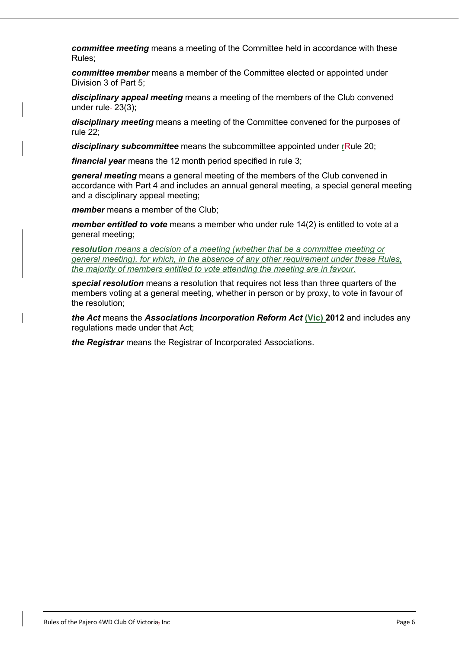*committee meeting* means a meeting of the Committee held in accordance with these Rules;

*committee member* means a member of the Committee elected or appointed under Division 3 of Part 5;

*disciplinary appeal meeting* means a meeting of the members of the Club convened under rule $-23(3)$ ;

*disciplinary meeting* means a meeting of the Committee convened for the purposes of rule 22;

disciplinary subcommittee means the subcommittee appointed under rRule 20;

*financial year* means the 12 month period specified in rule 3;

*general meeting* means a general meeting of the members of the Club convened in accordance with Part 4 and includes an annual general meeting, a special general meeting and a disciplinary appeal meeting;

*member* means a member of the Club;

*member entitled to vote* means a member who under rule 14(2) is entitled to vote at a general meeting;

*resolution means a decision of a meeting (whether that be a committee meeting or general meeting), for which, in the absence of any other requirement under these Rules, the majority of members entitled to vote attending the meeting are in favour.*

*special resolution* means a resolution that requires not less than three quarters of the members voting at a general meeting, whether in person or by proxy, to vote in favour of the resolution;

*the Act* means the *Associations Incorporation Reform Act* **(Vic) 2012** and includes any regulations made under that Act;

*the Registrar* means the Registrar of Incorporated Associations.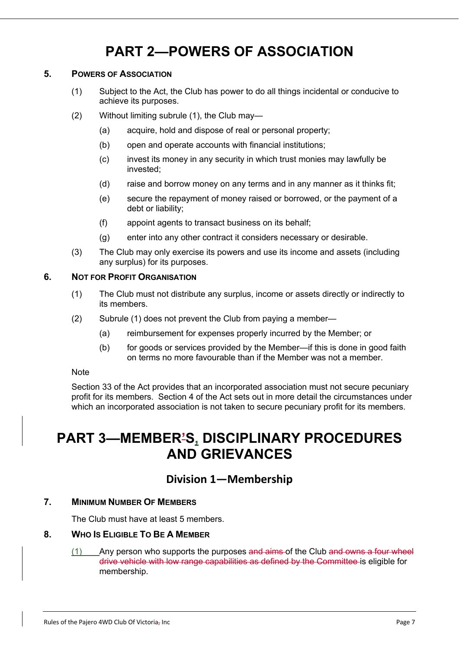# **PART 2—POWERS OF ASSOCIATION**

#### **5. POWERS OF ASSOCIATION**

- (1) Subject to the Act, the Club has power to do all things incidental or conducive to achieve its purposes.
- (2) Without limiting subrule (1), the Club may—
	- (a) acquire, hold and dispose of real or personal property;
	- (b) open and operate accounts with financial institutions;
	- (c) invest its money in any security in which trust monies may lawfully be invested;
	- (d) raise and borrow money on any terms and in any manner as it thinks fit;
	- (e) secure the repayment of money raised or borrowed, or the payment of a debt or liability;
	- (f) appoint agents to transact business on its behalf;
	- (g) enter into any other contract it considers necessary or desirable.
- (3) The Club may only exercise its powers and use its income and assets (including any surplus) for its purposes.

#### **6. NOT FOR PROFIT ORGANISATION**

- (1) The Club must not distribute any surplus, income or assets directly or indirectly to its members.
- (2) Subrule (1) does not prevent the Club from paying a member—
	- (a) reimbursement for expenses properly incurred by the Member; or
	- (b) for goods or services provided by the Member—if this is done in good faith on terms no more favourable than if the Member was not a member.

#### **Note**

Section 33 of the Act provides that an incorporated association must not secure pecuniary profit for its members. Section 4 of the Act sets out in more detail the circumstances under which an incorporated association is not taken to secure pecuniary profit for its members.

# **PART 3—MEMBER'S, DISCIPLINARY PROCEDURES AND GRIEVANCES**

### **Division 1—Membership**

#### **7. MINIMUM NUMBER OF MEMBERS**

The Club must have at least 5 members.

#### **8. WHO IS ELIGIBLE TO BE A MEMBER**

 $(1)$  Any person who supports the purposes and aims of the Club and owns a four wheel drive vehicle with low range capabilities as defined by the Committee is eligible for membership.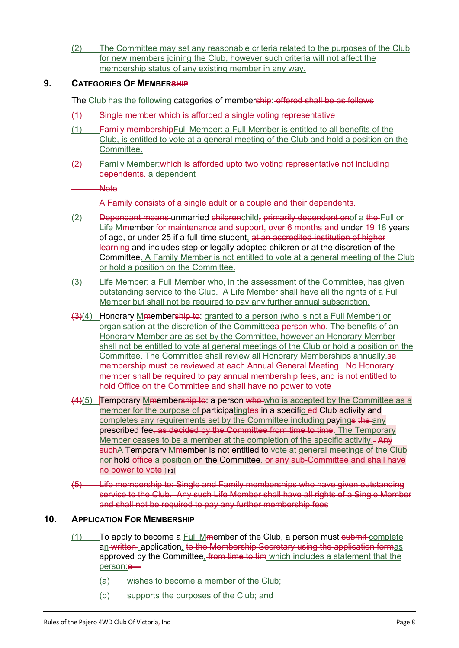(2) The Committee may set any reasonable criteria related to the purposes of the Club for new members joining the Club, however such criteria will not affect the membership status of any existing member in any way.

#### **9. CATEGORIES OF MEMBERSHIP**

The Club has the following categories of membership: offered shall be as follows

- (1) Single member which is afforded a single voting representative
- (1) Family membershipFull Member: a Full Member is entitled to all benefits of the Club, is entitled to vote at a general meeting of the Club and hold a position on the Committee.
- (2) Family Member:which is afforded upto two voting representative not including dependents. a dependent

**Note** 

A Family consists of a single adult or a couple and their dependents.

- (2) Dependant means-unmarried childrenchild, primarily dependent onof a the Full or Life Mmember for maintenance and support, over 6 months and under 19-18 years of age, or under 25 if a full-time student, at an accredited institution of higher learning and includes step or legally adopted children or at the discretion of the Committee. A Family Member is not entitled to vote at a general meeting of the Club or hold a position on the Committee.
- (3) Life Member: a Full Member who, in the assessment of the Committee, has given outstanding service to the Club. A Life Member shall have all the rights of a Full Member but shall not be required to pay any further annual subscription.
- (3)(4) Honorary Mmembership to: granted to a person (who is not a Full Member) or organisation at the discretion of the Committeea person who. The benefits of an Honorary Member are as set by the Committee, however an Honorary Member shall not be entitled to vote at general meetings of the Club or hold a position on the Committee. The Committee shall review all Honorary Memberships annually.se membership must be reviewed at each Annual General Meeting. No Honorary member shall be required to pay annual membership fees, and is not entitled to hold Office on the Committee and shall have no power to vote
- $(4)(5)$  Temporary Mmembership to: a person who who is accepted by the Committee as a member for the purpose of participatingtes in a specific ed-Club activity and completes any requirements set by the Committee including payings the any prescribed fee, as decided by the Committee from time to time. The Temporary Member ceases to be a member at the completion of the specific activity.- Any suchA Temporary Mmember is not entitled to vote at general meetings of the Club nor hold office a position on the Committee. or any sub-Committee and shall have **no power to vote [IF1]**
- (5) Life membership to: Single and Family memberships who have given outstanding service to the Club. Any such Life Member shall have all rights of a Single Member and shall not be required to pay any further membership fees

#### **10. APPLICATION FOR MEMBERSHIP**

- $(1)$  To apply to become a Full Mmember of the Club, a person must submit-complete an written application, to the Membership Secretary using the application formas approved by the Committee, from time to tim which includes a statement that the person:e—
	- (a) wishes to become a member of the Club;
	- (b) supports the purposes of the Club; and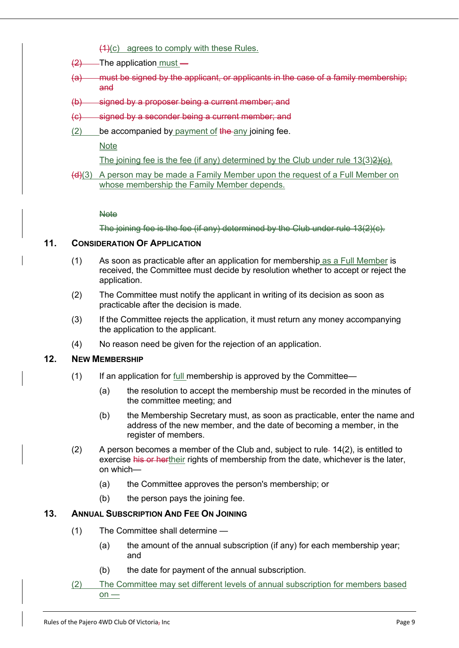- (1)(c) agrees to comply with these Rules.
- $(2)$  The application must –
- (a) must be signed by the applicant, or applicants in the case of a family membership; and
- (b) signed by a proposer being a current member; and
- (c) signed by a seconder being a current member; and
- $(2)$  be accompanied by payment of the any joining fee.

**Note** 

The joining fee is the fee (if any) determined by the Club under rule 13(3) 2He).

 $(d)(3)$  A person may be made a Family Member upon the request of a Full Member on whose membership the Family Member depends.

**Note** 

The joining fee is the fee (if any) determined by the Club under rule 13(2)(c).

#### **11. CONSIDERATION OF APPLICATION**

- (1) As soon as practicable after an application for membership as a Full Member is received, the Committee must decide by resolution whether to accept or reject the application.
- (2) The Committee must notify the applicant in writing of its decision as soon as practicable after the decision is made.
- (3) If the Committee rejects the application, it must return any money accompanying the application to the applicant.
- (4) No reason need be given for the rejection of an application.

#### **12. NEW MEMBERSHIP**

- (1) If an application for full membership is approved by the Committee—
	- (a) the resolution to accept the membership must be recorded in the minutes of the committee meeting; and
	- (b) the Membership Secretary must, as soon as practicable, enter the name and address of the new member, and the date of becoming a member, in the register of members.
- (2) A person becomes a member of the Club and, subject to rule 14(2), is entitled to exercise his or hertheir rights of membership from the date, whichever is the later, on which—
	- (a) the Committee approves the person's membership; or
	- (b) the person pays the joining fee.

#### **13. ANNUAL SUBSCRIPTION AND FEE ON JOINING**

- (1) The Committee shall determine
	- (a) the amount of the annual subscription (if any) for each membership year; and
	- (b) the date for payment of the annual subscription.
- (2) The Committee may set different levels of annual subscription for members based on —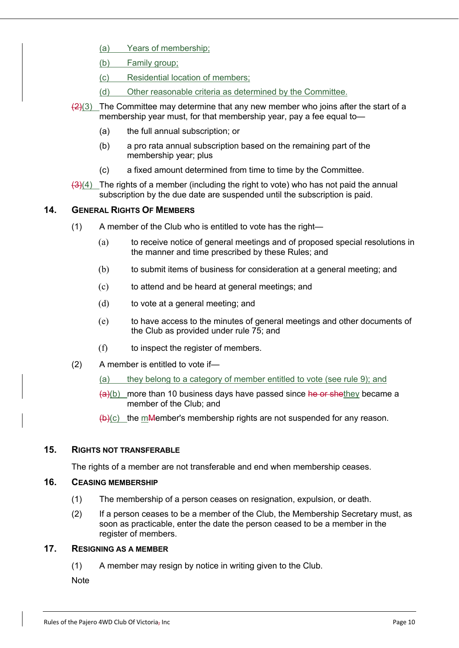- (a) Years of membership;
- (b) Family group;
- (c) Residential location of members;
- (d) Other reasonable criteria as determined by the Committee.
- $(2)(3)$  The Committee may determine that any new member who joins after the start of a membership year must, for that membership year, pay a fee equal to—
	- (a) the full annual subscription; or
	- (b) a pro rata annual subscription based on the remaining part of the membership year; plus
	- (c) a fixed amount determined from time to time by the Committee.
- $\left(\frac{3}{4}\right)$  The rights of a member (including the right to vote) who has not paid the annual subscription by the due date are suspended until the subscription is paid.

#### **14. GENERAL RIGHTS OF MEMBERS**

- (1) A member of the Club who is entitled to vote has the right—
	- (a) to receive notice of general meetings and of proposed special resolutions in the manner and time prescribed by these Rules; and
	- (b) to submit items of business for consideration at a general meeting; and
	- (c) to attend and be heard at general meetings; and
	- (d) to vote at a general meeting; and
	- (e) to have access to the minutes of general meetings and other documents of the Club as provided under rule 75; and
	- (f) to inspect the register of members.
- (2) A member is entitled to vote if—
	- (a) they belong to a category of member entitled to vote (see rule 9); and
	- $(a)(b)$  more than 10 business days have passed since he or shethey became a member of the Club; and
	- $\left(\frac{h}{c}\right)$  the mMember's membership rights are not suspended for any reason.

#### **15. RIGHTS NOT TRANSFERABLE**

The rights of a member are not transferable and end when membership ceases.

#### **16. CEASING MEMBERSHIP**

- (1) The membership of a person ceases on resignation, expulsion, or death.
- (2) If a person ceases to be a member of the Club, the Membership Secretary must, as soon as practicable, enter the date the person ceased to be a member in the register of members.

#### **17. RESIGNING AS A MEMBER**

(1) A member may resign by notice in writing given to the Club.

**Note**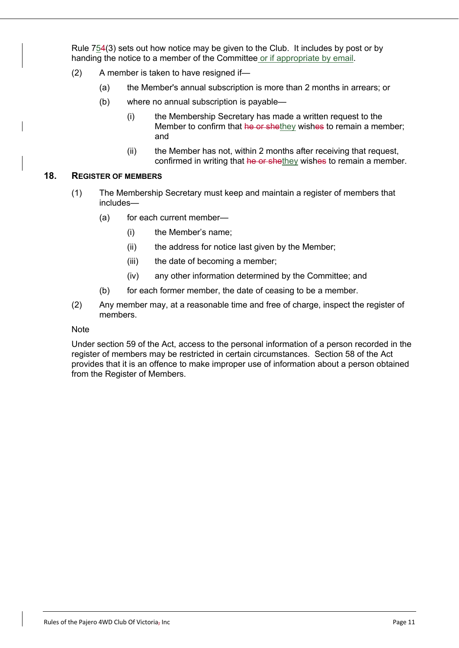Rule 754(3) sets out how notice may be given to the Club. It includes by post or by handing the notice to a member of the Committee or if appropriate by email.

- (2) A member is taken to have resigned if—
	- (a) the Member's annual subscription is more than 2 months in arrears; or
	- (b) where no annual subscription is payable—
		- (i) the Membership Secretary has made a written request to the Member to confirm that he or shethey wishes to remain a member; and
		- (ii) the Member has not, within 2 months after receiving that request, confirmed in writing that he or shethey wishes to remain a member.

#### **18. REGISTER OF MEMBERS**

- (1) The Membership Secretary must keep and maintain a register of members that includes—
	- (a) for each current member—
		- (i) the Member's name;
		- (ii) the address for notice last given by the Member;
		- (iii) the date of becoming a member;
		- (iv) any other information determined by the Committee; and
	- (b) for each former member, the date of ceasing to be a member.
- (2) Any member may, at a reasonable time and free of charge, inspect the register of members.

#### **Note**

Under section 59 of the Act, access to the personal information of a person recorded in the register of members may be restricted in certain circumstances. Section 58 of the Act provides that it is an offence to make improper use of information about a person obtained from the Register of Members.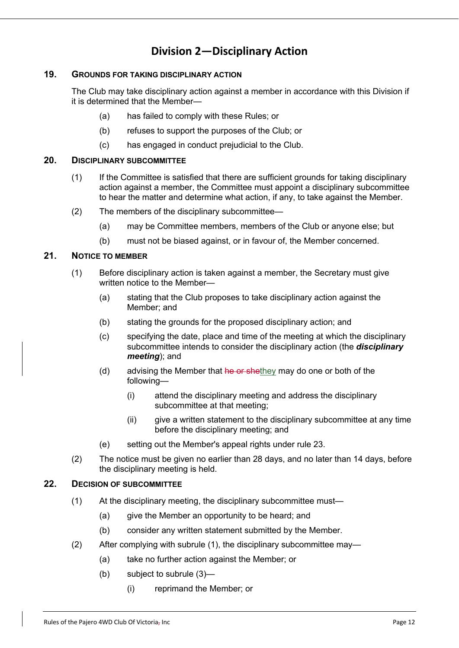### **Division 2—Disciplinary Action**

#### **19. GROUNDS FOR TAKING DISCIPLINARY ACTION**

The Club may take disciplinary action against a member in accordance with this Division if it is determined that the Member—

- (a) has failed to comply with these Rules; or
- (b) refuses to support the purposes of the Club; or
- (c) has engaged in conduct prejudicial to the Club.

#### **20. DISCIPLINARY SUBCOMMITTEE**

- (1) If the Committee is satisfied that there are sufficient grounds for taking disciplinary action against a member, the Committee must appoint a disciplinary subcommittee to hear the matter and determine what action, if any, to take against the Member.
- (2) The members of the disciplinary subcommittee—
	- (a) may be Committee members, members of the Club or anyone else; but
	- (b) must not be biased against, or in favour of, the Member concerned.

#### **21. NOTICE TO MEMBER**

- (1) Before disciplinary action is taken against a member, the Secretary must give written notice to the Member—
	- (a) stating that the Club proposes to take disciplinary action against the Member; and
	- (b) stating the grounds for the proposed disciplinary action; and
	- (c) specifying the date, place and time of the meeting at which the disciplinary subcommittee intends to consider the disciplinary action (the *disciplinary meeting*); and
	- (d) advising the Member that he or shethey may do one or both of the following—
		- (i) attend the disciplinary meeting and address the disciplinary subcommittee at that meeting;
		- (ii) give a written statement to the disciplinary subcommittee at any time before the disciplinary meeting; and
	- (e) setting out the Member's appeal rights under rule 23.
- (2) The notice must be given no earlier than 28 days, and no later than 14 days, before the disciplinary meeting is held.

#### **22. DECISION OF SUBCOMMITTEE**

- (1) At the disciplinary meeting, the disciplinary subcommittee must—
	- (a) give the Member an opportunity to be heard; and
	- (b) consider any written statement submitted by the Member.
- (2) After complying with subrule (1), the disciplinary subcommittee may—
	- (a) take no further action against the Member; or
	- (b) subject to subrule (3)—
		- (i) reprimand the Member; or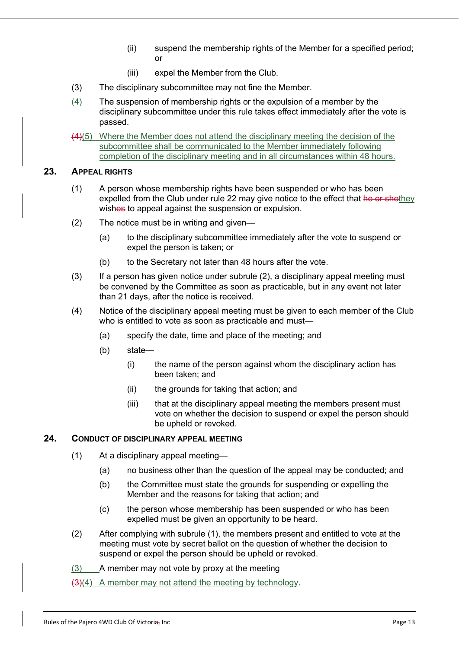- (ii) suspend the membership rights of the Member for a specified period; or
- (iii) expel the Member from the Club.
- (3) The disciplinary subcommittee may not fine the Member.
- (4) The suspension of membership rights or the expulsion of a member by the disciplinary subcommittee under this rule takes effect immediately after the vote is passed.
- (4)(5) Where the Member does not attend the disciplinary meeting the decision of the subcommittee shall be communicated to the Member immediately following completion of the disciplinary meeting and in all circumstances within 48 hours.

#### **23. APPEAL RIGHTS**

- (1) A person whose membership rights have been suspended or who has been expelled from the Club under rule 22 may give notice to the effect that he or shethey wishes to appeal against the suspension or expulsion.
- (2) The notice must be in writing and given—
	- (a) to the disciplinary subcommittee immediately after the vote to suspend or expel the person is taken; or
	- (b) to the Secretary not later than 48 hours after the vote.
- (3) If a person has given notice under subrule (2), a disciplinary appeal meeting must be convened by the Committee as soon as practicable, but in any event not later than 21 days, after the notice is received.
- (4) Notice of the disciplinary appeal meeting must be given to each member of the Club who is entitled to vote as soon as practicable and must-
	- (a) specify the date, time and place of the meeting; and
	- (b) state—
		- (i) the name of the person against whom the disciplinary action has been taken; and
		- (ii) the grounds for taking that action; and
		- (iii) that at the disciplinary appeal meeting the members present must vote on whether the decision to suspend or expel the person should be upheld or revoked.

#### **24. CONDUCT OF DISCIPLINARY APPEAL MEETING**

- (1) At a disciplinary appeal meeting—
	- (a) no business other than the question of the appeal may be conducted; and
	- (b) the Committee must state the grounds for suspending or expelling the Member and the reasons for taking that action; and
	- (c) the person whose membership has been suspended or who has been expelled must be given an opportunity to be heard.
- (2) After complying with subrule (1), the members present and entitled to vote at the meeting must vote by secret ballot on the question of whether the decision to suspend or expel the person should be upheld or revoked.
- (3) A member may not vote by proxy at the meeting
- $(3)(4)$  A member may not attend the meeting by technology.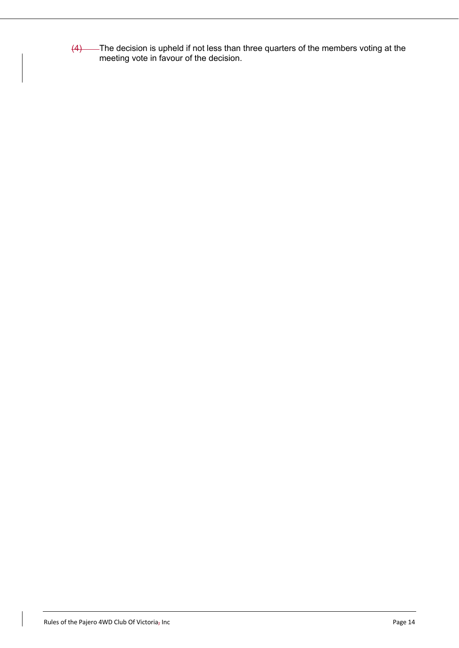$(4)$  The decision is upheld if not less than three quarters of the members voting at the meeting vote in favour of the decision.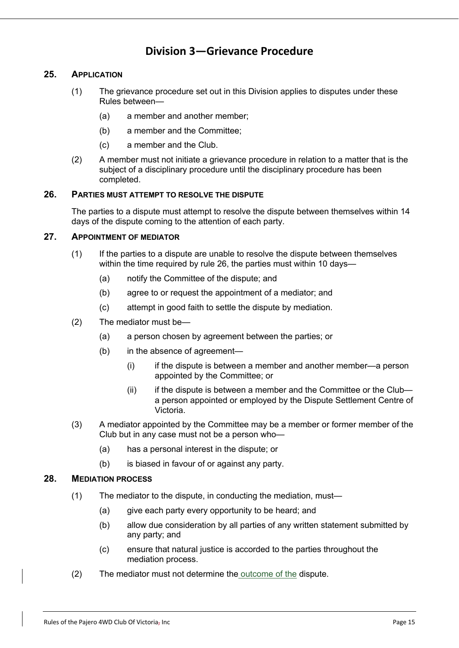### **Division 3—Grievance Procedure**

#### **25. APPLICATION**

- (1) The grievance procedure set out in this Division applies to disputes under these Rules between—
	- (a) a member and another member;
	- (b) a member and the Committee;
	- (c) a member and the Club.
- (2) A member must not initiate a grievance procedure in relation to a matter that is the subject of a disciplinary procedure until the disciplinary procedure has been completed.

#### **26. PARTIES MUST ATTEMPT TO RESOLVE THE DISPUTE**

The parties to a dispute must attempt to resolve the dispute between themselves within 14 days of the dispute coming to the attention of each party.

#### **27. APPOINTMENT OF MEDIATOR**

- (1) If the parties to a dispute are unable to resolve the dispute between themselves within the time required by rule 26, the parties must within 10 days—
	- (a) notify the Committee of the dispute; and
	- (b) agree to or request the appointment of a mediator; and
	- (c) attempt in good faith to settle the dispute by mediation.
- (2) The mediator must be—
	- (a) a person chosen by agreement between the parties; or
	- (b) in the absence of agreement—
		- (i) if the dispute is between a member and another member—a person appointed by the Committee; or
		- (ii) if the dispute is between a member and the Committee or the Club a person appointed or employed by the Dispute Settlement Centre of Victoria.
- (3) A mediator appointed by the Committee may be a member or former member of the Club but in any case must not be a person who—
	- (a) has a personal interest in the dispute; or
	- (b) is biased in favour of or against any party.

#### **28. MEDIATION PROCESS**

- (1) The mediator to the dispute, in conducting the mediation, must—
	- (a) give each party every opportunity to be heard; and
	- (b) allow due consideration by all parties of any written statement submitted by any party; and
	- (c) ensure that natural justice is accorded to the parties throughout the mediation process.
- (2) The mediator must not determine the outcome of the dispute.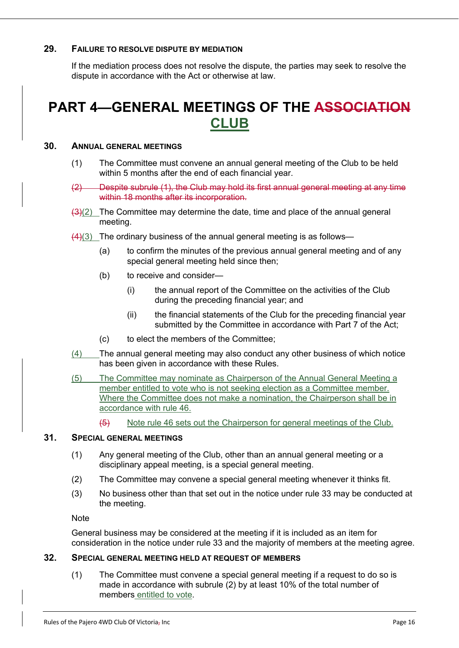#### **29. FAILURE TO RESOLVE DISPUTE BY MEDIATION**

If the mediation process does not resolve the dispute, the parties may seek to resolve the dispute in accordance with the Act or otherwise at law.

# **PART 4—GENERAL MEETINGS OF THE ASSOCIATION CLUB**

#### **30. ANNUAL GENERAL MEETINGS**

- (1) The Committee must convene an annual general meeting of the Club to be held within 5 months after the end of each financial year.
- (2) Despite subrule (1), the Club may hold its first annual general meeting at any time within 18 months after its incorporation.
- $\frac{1}{2}(2)$  The Committee may determine the date, time and place of the annual general meeting.
- $(4)(3)$  The ordinary business of the annual general meeting is as follows—
	- (a) to confirm the minutes of the previous annual general meeting and of any special general meeting held since then;
	- (b) to receive and consider—
		- (i) the annual report of the Committee on the activities of the Club during the preceding financial year; and
		- (ii) the financial statements of the Club for the preceding financial year submitted by the Committee in accordance with Part 7 of the Act;
	- (c) to elect the members of the Committee;
- (4) The annual general meeting may also conduct any other business of which notice has been given in accordance with these Rules.
- (5) The Committee may nominate as Chairperson of the Annual General Meeting a member entitled to vote who is not seeking election as a Committee member. Where the Committee does not make a nomination, the Chairperson shall be in accordance with rule 46.
	- (5) Note rule 46 sets out the Chairperson for general meetings of the Club.

#### **31. SPECIAL GENERAL MEETINGS**

- (1) Any general meeting of the Club, other than an annual general meeting or a disciplinary appeal meeting, is a special general meeting.
- (2) The Committee may convene a special general meeting whenever it thinks fit.
- (3) No business other than that set out in the notice under rule 33 may be conducted at the meeting.

Note

General business may be considered at the meeting if it is included as an item for consideration in the notice under rule 33 and the majority of members at the meeting agree.

#### **32. SPECIAL GENERAL MEETING HELD AT REQUEST OF MEMBERS**

(1) The Committee must convene a special general meeting if a request to do so is made in accordance with subrule (2) by at least 10% of the total number of members entitled to vote.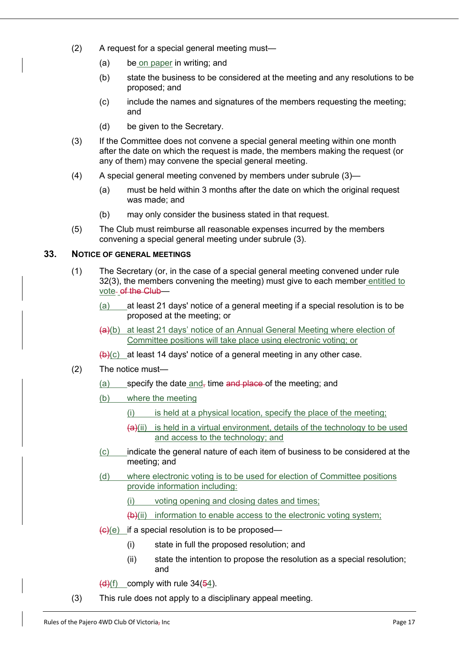- (2) A request for a special general meeting must—
	- (a) be on paper in writing; and
	- (b) state the business to be considered at the meeting and any resolutions to be proposed; and
	- (c) include the names and signatures of the members requesting the meeting; and
	- (d) be given to the Secretary.
- (3) If the Committee does not convene a special general meeting within one month after the date on which the request is made, the members making the request (or any of them) may convene the special general meeting.
- (4) A special general meeting convened by members under subrule (3)—
	- (a) must be held within 3 months after the date on which the original request was made; and
	- (b) may only consider the business stated in that request.
- (5) The Club must reimburse all reasonable expenses incurred by the members convening a special general meeting under subrule (3).

#### **33. NOTICE OF GENERAL MEETINGS**

- (1) The Secretary (or, in the case of a special general meeting convened under rule 32(3), the members convening the meeting) must give to each member entitled to vote- of the Club-
	- (a) at least 21 days' notice of a general meeting if a special resolution is to be proposed at the meeting; or
	- $(a)(b)$  at least 21 days' notice of an Annual General Meeting where election of Committee positions will take place using electronic voting; or

 $(b)(c)$  at least 14 days' notice of a general meeting in any other case.

- (2) The notice must—
	- (a) specify the date and, time and place of the meeting; and
	- (b) where the meeting
		- (i) is held at a physical location, specify the place of the meeting;
		- $(a)$ (ii) is held in a virtual environment, details of the technology to be used and access to the technology; and
	- (c) indicate the general nature of each item of business to be considered at the meeting; and
	- (d) where electronic voting is to be used for election of Committee positions provide information including:
		- (i) voting opening and closing dates and times;

 $(b)$ (ii) information to enable access to the electronic voting system;

- $\frac{1}{2}(e)(e)$  if a special resolution is to be proposed—
	- (i) state in full the proposed resolution; and
	- (ii) state the intention to propose the resolution as a special resolution; and
- $(d)(f)$  comply with rule 34(54).
- (3) This rule does not apply to a disciplinary appeal meeting.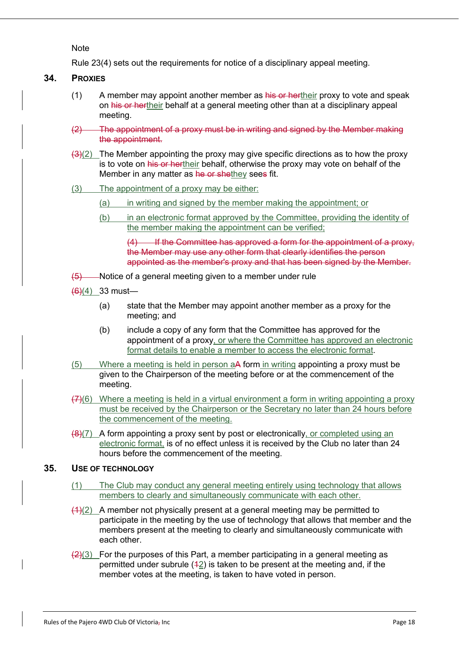**Note** 

Rule 23(4) sets out the requirements for notice of a disciplinary appeal meeting.

#### **34. PROXIES**

- $(1)$  A member may appoint another member as his or hertheir proxy to vote and speak on his or hertheir behalf at a general meeting other than at a disciplinary appeal meeting.
- (2) The appointment of a proxy must be in writing and signed by the Member making the appointment.
- $\left(\frac{3}{2}\right)$  The Member appointing the proxy may give specific directions as to how the proxy is to vote on his or hertheir behalf, otherwise the proxy may vote on behalf of the Member in any matter as he or shethey sees fit.
- (3) The appointment of a proxy may be either:
	- (a) in writing and signed by the member making the appointment; or
	- (b) in an electronic format approved by the Committee, providing the identity of the member making the appointment can be verified;

(4) If the Committee has approved a form for the appointment of a proxy, the Member may use any other form that clearly identifies the person appointed as the member's proxy and that has been signed by the Member.

- $(5)$  Notice of a general meeting given to a member under rule
- $(6)(4)$  33 must-
	- (a) state that the Member may appoint another member as a proxy for the meeting; and
	- (b) include a copy of any form that the Committee has approved for the appointment of a proxy, or where the Committee has approved an electronic format details to enable a member to access the electronic format.
- (5) Where a meeting is held in person aA form in writing appointing a proxy must be given to the Chairperson of the meeting before or at the commencement of the meeting.
- $(7)(6)$  Where a meeting is held in a virtual environment a form in writing appointing a proxy must be received by the Chairperson or the Secretary no later than 24 hours before the commencement of the meeting.
- $\left(\frac{8}{7}\right)$  A form appointing a proxy sent by post or electronically, or completed using an electronic format, is of no effect unless it is received by the Club no later than 24 hours before the commencement of the meeting.

#### **35. USE OF TECHNOLOGY**

- (1) The Club may conduct any general meeting entirely using technology that allows members to clearly and simultaneously communicate with each other.
- $(4)(2)$  A member not physically present at a general meeting may be permitted to participate in the meeting by the use of technology that allows that member and the members present at the meeting to clearly and simultaneously communicate with each other.
- $\left(\frac{2}{3}\right)$  For the purposes of this Part, a member participating in a general meeting as permitted under subrule  $(42)$  is taken to be present at the meeting and, if the member votes at the meeting, is taken to have voted in person.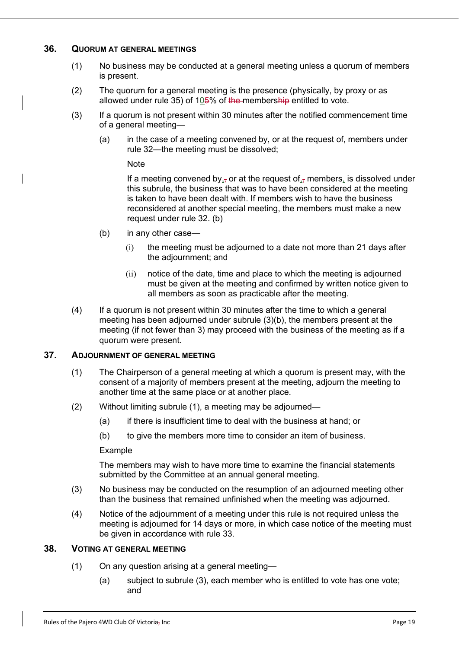#### **36. QUORUM AT GENERAL MEETINGS**

- (1) No business may be conducted at a general meeting unless a quorum of members is present.
- (2) The quorum for a general meeting is the presence (physically, by proxy or as allowed under rule 35) of 105% of the membership entitled to vote.
- (3) If a quorum is not present within 30 minutes after the notified commencement time of a general meeting—
	- (a) in the case of a meeting convened by, or at the request of, members under rule 32—the meeting must be dissolved;

#### **Note**

If a meeting convened by,  $\overline{y}$  or at the request of,  $\overline{y}$  members, is dissolved under this subrule, the business that was to have been considered at the meeting is taken to have been dealt with. If members wish to have the business reconsidered at another special meeting, the members must make a new request under rule 32. (b)

- (b) in any other case—
	- (i) the meeting must be adjourned to a date not more than 21 days after the adjournment; and
	- (ii) notice of the date, time and place to which the meeting is adjourned must be given at the meeting and confirmed by written notice given to all members as soon as practicable after the meeting.
- (4) If a quorum is not present within 30 minutes after the time to which a general meeting has been adjourned under subrule (3)(b), the members present at the meeting (if not fewer than 3) may proceed with the business of the meeting as if a quorum were present.

#### **37. ADJOURNMENT OF GENERAL MEETING**

- (1) The Chairperson of a general meeting at which a quorum is present may, with the consent of a majority of members present at the meeting, adjourn the meeting to another time at the same place or at another place.
- (2) Without limiting subrule (1), a meeting may be adjourned—
	- (a) if there is insufficient time to deal with the business at hand; or
	- (b) to give the members more time to consider an item of business.

#### Example

The members may wish to have more time to examine the financial statements submitted by the Committee at an annual general meeting.

- (3) No business may be conducted on the resumption of an adjourned meeting other than the business that remained unfinished when the meeting was adjourned.
- (4) Notice of the adjournment of a meeting under this rule is not required unless the meeting is adjourned for 14 days or more, in which case notice of the meeting must be given in accordance with rule 33.

#### **38. VOTING AT GENERAL MEETING**

- (1) On any question arising at a general meeting—
	- (a) subject to subrule (3), each member who is entitled to vote has one vote; and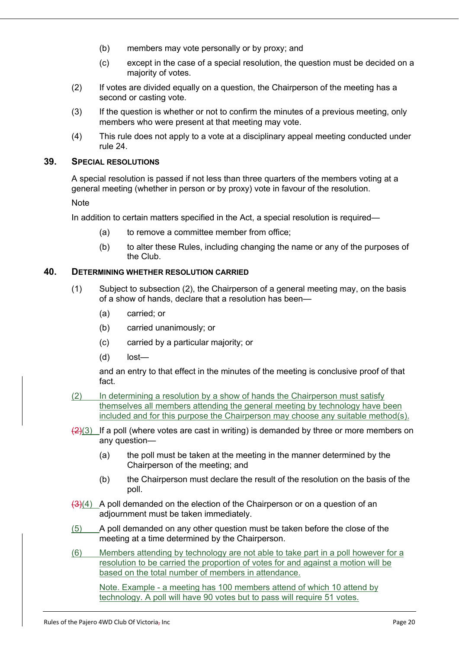- (b) members may vote personally or by proxy; and
- (c) except in the case of a special resolution, the question must be decided on a majority of votes.
- (2) If votes are divided equally on a question, the Chairperson of the meeting has a second or casting vote.
- (3) If the question is whether or not to confirm the minutes of a previous meeting, only members who were present at that meeting may vote.
- (4) This rule does not apply to a vote at a disciplinary appeal meeting conducted under rule 24.

#### **39. SPECIAL RESOLUTIONS**

A special resolution is passed if not less than three quarters of the members voting at a general meeting (whether in person or by proxy) vote in favour of the resolution.

Note

In addition to certain matters specified in the Act, a special resolution is required—

- (a) to remove a committee member from office;
- (b) to alter these Rules, including changing the name or any of the purposes of the Club.

#### **40. DETERMINING WHETHER RESOLUTION CARRIED**

- (1) Subject to subsection (2), the Chairperson of a general meeting may, on the basis of a show of hands, declare that a resolution has been—
	- (a) carried; or
	- (b) carried unanimously; or
	- (c) carried by a particular majority; or
	- (d) lost—

and an entry to that effect in the minutes of the meeting is conclusive proof of that fact.

- (2) In determining a resolution by a show of hands the Chairperson must satisfy themselves all members attending the general meeting by technology have been included and for this purpose the Chairperson may choose any suitable method(s).
- $\left(\frac{2}{3}\right)$  If a poll (where votes are cast in writing) is demanded by three or more members on any question—
	- (a) the poll must be taken at the meeting in the manner determined by the Chairperson of the meeting; and
	- (b) the Chairperson must declare the result of the resolution on the basis of the poll.
- $\left(\frac{3}{4}\right)$  A poll demanded on the election of the Chairperson or on a question of an adjournment must be taken immediately.
- (5) A poll demanded on any other question must be taken before the close of the meeting at a time determined by the Chairperson.
- (6) Members attending by technology are not able to take part in a poll however for a resolution to be carried the proportion of votes for and against a motion will be based on the total number of members in attendance.

Note. Example - a meeting has 100 members attend of which 10 attend by technology. A poll will have 90 votes but to pass will require 51 votes.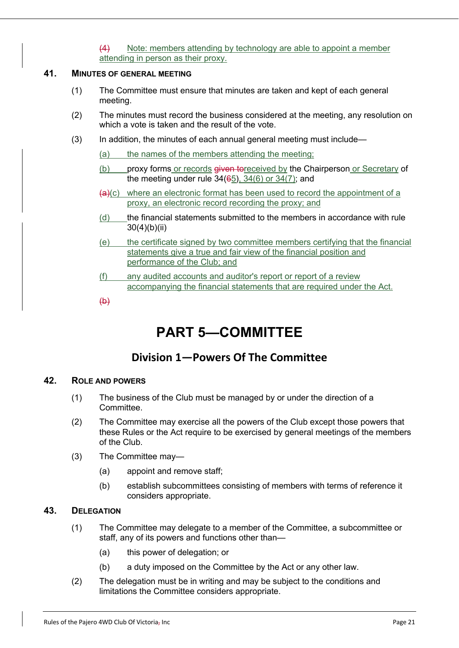(4) Note: members attending by technology are able to appoint a member attending in person as their proxy.

#### **41. MINUTES OF GENERAL MEETING**

- (1) The Committee must ensure that minutes are taken and kept of each general meeting.
- (2) The minutes must record the business considered at the meeting, any resolution on which a vote is taken and the result of the vote.
- (3) In addition, the minutes of each annual general meeting must include—
	- (a) the names of the members attending the meeting;
	- (b) proxy forms or records given to received by the Chairperson or Secretary of the meeting under rule 34(65), 34(6) or 34(7); and
	- $\left(\frac{a}{c}\right)$  where an electronic format has been used to record the appointment of a proxy, an electronic record recording the proxy; and
	- (d) the financial statements submitted to the members in accordance with rule 30(4)(b)(ii)
	- (e) the certificate signed by two committee members certifying that the financial statements give a true and fair view of the financial position and performance of the Club; and
	- (f) any audited accounts and auditor's report or report of a review accompanying the financial statements that are required under the Act.
	- $\bigoplus$

# **PART 5—COMMITTEE**

### **Division 1—Powers Of The Committee**

#### **42. ROLE AND POWERS**

- (1) The business of the Club must be managed by or under the direction of a Committee.
- (2) The Committee may exercise all the powers of the Club except those powers that these Rules or the Act require to be exercised by general meetings of the members of the Club.
- (3) The Committee may—
	- (a) appoint and remove staff;
	- (b) establish subcommittees consisting of members with terms of reference it considers appropriate.

#### **43. DELEGATION**

- (1) The Committee may delegate to a member of the Committee, a subcommittee or staff, any of its powers and functions other than—
	- (a) this power of delegation; or
	- (b) a duty imposed on the Committee by the Act or any other law.
- (2) The delegation must be in writing and may be subject to the conditions and limitations the Committee considers appropriate.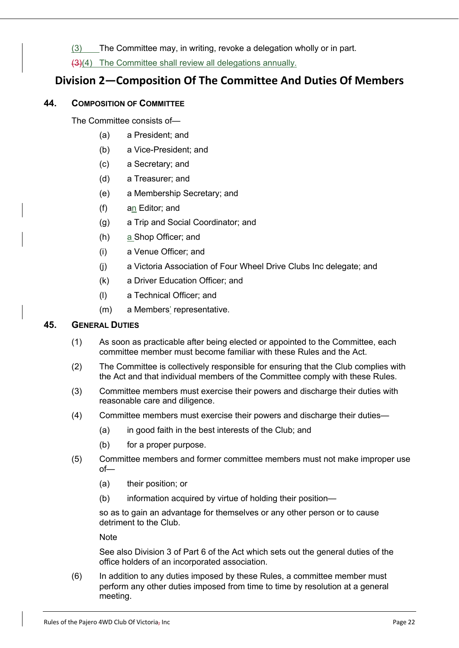(3) The Committee may, in writing, revoke a delegation wholly or in part.

(3)(4) The Committee shall review all delegations annually.

### **Division 2—Composition Of The Committee And Duties Of Members**

#### **44. COMPOSITION OF COMMITTEE**

The Committee consists of—

- (a) a President; and
- (b) a Vice-President; and
- (c) a Secretary; and
- (d) a Treasurer; and
- (e) a Membership Secretary; and
- (f) an Editor; and
- (g) a Trip and Social Coordinator; and
- (h) a Shop Officer; and
- (i) a Venue Officer; and
- (j) a Victoria Association of Four Wheel Drive Clubs Inc delegate; and
- (k) a Driver Education Officer; and
- (l) a Technical Officer; and
- (m) a Members' representative.

#### **45. GENERAL DUTIES**

- (1) As soon as practicable after being elected or appointed to the Committee, each committee member must become familiar with these Rules and the Act.
- (2) The Committee is collectively responsible for ensuring that the Club complies with the Act and that individual members of the Committee comply with these Rules.
- (3) Committee members must exercise their powers and discharge their duties with reasonable care and diligence.
- (4) Committee members must exercise their powers and discharge their duties—
	- (a) in good faith in the best interests of the Club; and
	- (b) for a proper purpose.
- (5) Committee members and former committee members must not make improper use  $of$ 
	- (a) their position; or
	- (b) information acquired by virtue of holding their position—

so as to gain an advantage for themselves or any other person or to cause detriment to the Club.

**Note** 

See also Division 3 of Part 6 of the Act which sets out the general duties of the office holders of an incorporated association.

(6) In addition to any duties imposed by these Rules, a committee member must perform any other duties imposed from time to time by resolution at a general meeting.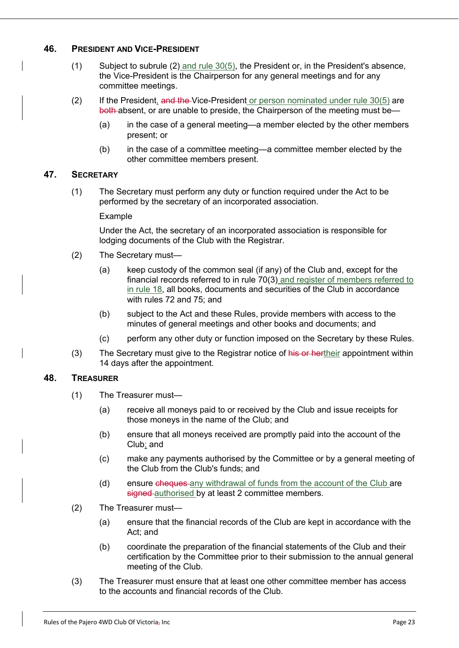#### **46. PRESIDENT AND VICE-PRESIDENT**

- (1) Subject to subrule (2) and rule 30(5), the President or, in the President's absence, the Vice-President is the Chairperson for any general meetings and for any committee meetings.
- (2) If the President, and the Vice-President or person nominated under rule 30(5) are both absent, or are unable to preside, the Chairperson of the meeting must be—
	- (a) in the case of a general meeting—a member elected by the other members present; or
	- (b) in the case of a committee meeting—a committee member elected by the other committee members present.

#### **47. SECRETARY**

(1) The Secretary must perform any duty or function required under the Act to be performed by the secretary of an incorporated association.

#### Example

Under the Act, the secretary of an incorporated association is responsible for lodging documents of the Club with the Registrar.

- (2) The Secretary must—
	- (a) keep custody of the common seal (if any) of the Club and, except for the financial records referred to in rule 70(3) and register of members referred to in rule 18, all books, documents and securities of the Club in accordance with rules 72 and 75; and
	- (b) subject to the Act and these Rules, provide members with access to the minutes of general meetings and other books and documents; and
	- (c) perform any other duty or function imposed on the Secretary by these Rules.
- (3) The Secretary must give to the Registrar notice of his or hertheir appointment within 14 days after the appointment.

#### **48. TREASURER**

- (1) The Treasurer must—
	- (a) receive all moneys paid to or received by the Club and issue receipts for those moneys in the name of the Club; and
	- (b) ensure that all moneys received are promptly paid into the account of the Club; and
	- (c) make any payments authorised by the Committee or by a general meeting of the Club from the Club's funds; and
	- (d) ensure cheques any withdrawal of funds from the account of the Club are signed authorised by at least 2 committee members.
- (2) The Treasurer must—
	- (a) ensure that the financial records of the Club are kept in accordance with the Act; and
	- (b) coordinate the preparation of the financial statements of the Club and their certification by the Committee prior to their submission to the annual general meeting of the Club.
- (3) The Treasurer must ensure that at least one other committee member has access to the accounts and financial records of the Club.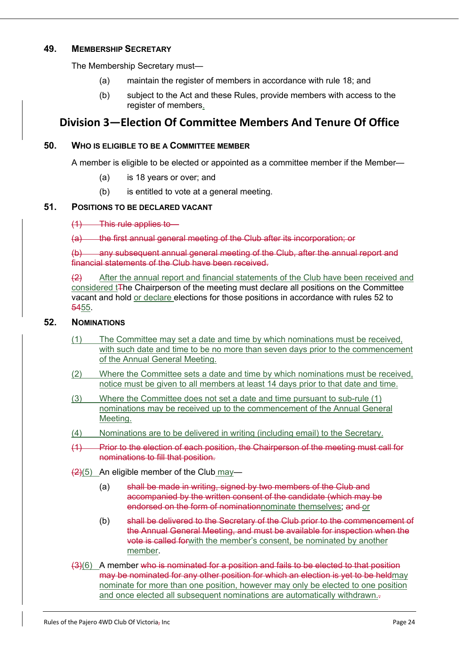#### **49. MEMBERSHIP SECRETARY**

The Membership Secretary must—

- (a) maintain the register of members in accordance with rule 18; and
- (b) subject to the Act and these Rules, provide members with access to the register of members.

### **Division 3—Election Of Committee Members And Tenure Of Office**

#### **50. WHO IS ELIGIBLE TO BE A COMMITTEE MEMBER**

A member is eligible to be elected or appointed as a committee member if the Member—

- (a) is 18 years or over; and
- (b) is entitled to vote at a general meeting.

#### **51. POSITIONS TO BE DECLARED VACANT**

(1) This rule applies to—

(a) the first annual general meeting of the Club after its incorporation; or

(b) any subsequent annual general meeting of the Club, after the annual report and financial statements of the Club have been received.

(2) After the annual report and financial statements of the Club have been received and considered t<sub>T</sub>he Chairperson of the meeting must declare all positions on the Committee vacant and hold or declare elections for those positions in accordance with rules 52 to 5455.

#### **52. NOMINATIONS**

- (1) The Committee may set a date and time by which nominations must be received, with such date and time to be no more than seven days prior to the commencement of the Annual General Meeting.
- (2) Where the Committee sets a date and time by which nominations must be received, notice must be given to all members at least 14 days prior to that date and time.
- (3) Where the Committee does not set a date and time pursuant to sub-rule (1) nominations may be received up to the commencement of the Annual General Meeting.
- (4) Nominations are to be delivered in writing (including email) to the Secretary.
- (1) Prior to the election of each position, the Chairperson of the meeting must call for nominations to fill that position.
- $(2)(5)$  An eligible member of the Club may-
	- (a) shall be made in writing, signed by two members of the Club and accompanied by the written consent of the candidate (which may be endorsed on the form of nominationnominate themselves; and or
	- (b) shall be delivered to the Secretary of the Club prior to the commencement of the Annual General Meeting, and must be available for inspection when the vote is called forwith the member's consent, be nominated by another member.
- (3)(6) A member who is nominated for a position and fails to be elected to that position may be nominated for any other position for which an election is yet to be heldmay nominate for more than one position, however may only be elected to one position and once elected all subsequent nominations are automatically withdrawn.-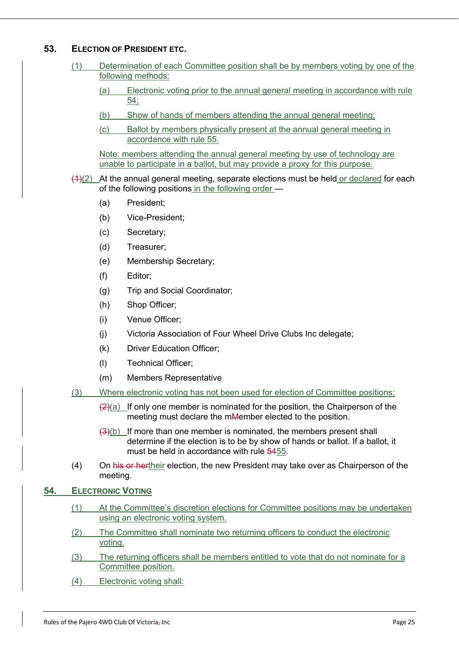#### **53. ELECTION OF PRESIDENT ETC.**

- (1) Determination of each Committee position shall be by members voting by one of the following methods:
	- (a) Electronic voting prior to the annual general meeting in accordance with rule 54;
	- (b) Show of hands of members attending the annual general meeting;
	- (c) Ballot by members physically present at the annual general meeting in accordance with rule 55.

Note: members attending the annual general meeting by use of technology are unable to participate in a ballot, but may provide a proxy for this purpose.

- $(4)(2)$  At the annual general meeting, separate elections must be held or declared for each of the following positions in the following order —
	- (a) President;
	- (b) Vice-President;
	- (c) Secretary;
	- (d) Treasurer;
	- (e) Membership Secretary;
	- (f) Editor;
	- (g) Trip and Social Coordinator;
	- (h) Shop Officer;
	- (i) Venue Officer;
	- (j) Victoria Association of Four Wheel Drive Clubs Inc delegate;
	- (k) Driver Education Officer;
	- (l) Technical Officer;
	- (m) Members Representative
- (3) Where electronic voting has not been used for election of Committee positions:
	- $\left\langle 2\right\rangle$ (a) If only one member is nominated for the position, the Chairperson of the meeting must declare the mMember elected to the position.
	- $(3)(b)$  If more than one member is nominated, the members present shall determine if the election is to be by show of hands or ballot. If a ballot, it must be held in accordance with rule 5455.
- (4) On his or hertheir election, the new President may take over as Chairperson of the meeting.

#### **54. ELECTRONIC VOTING**

- (1) At the Committee's discretion elections for Committee positions may be undertaken using an electronic voting system.
- (2) The Committee shall nominate two returning officers to conduct the electronic voting.
- (3) The returning officers shall be members entitled to vote that do not nominate for a Committee position.
- (4) Electronic voting shall: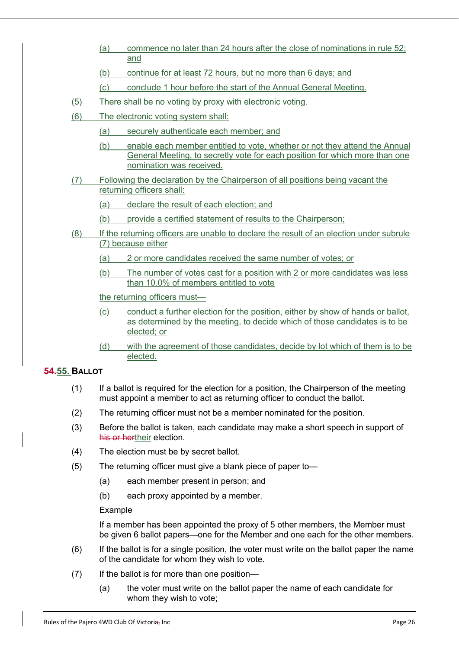- (a) commence no later than 24 hours after the close of nominations in rule 52; and
- (b) continue for at least 72 hours, but no more than 6 days; and
- (c) conclude 1 hour before the start of the Annual General Meeting.
- (5) There shall be no voting by proxy with electronic voting.
- (6) The electronic voting system shall:
	- (a) securely authenticate each member; and
	- (b) enable each member entitled to vote, whether or not they attend the Annual General Meeting, to secretly vote for each position for which more than one nomination was received.
- (7) Following the declaration by the Chairperson of all positions being vacant the returning officers shall:
	- (a) declare the result of each election; and
	- (b) provide a certified statement of results to the Chairperson;
- (8) If the returning officers are unable to declare the result of an election under subrule (7) because either
	- (a) 2 or more candidates received the same number of votes; or
	- (b) The number of votes cast for a position with 2 or more candidates was less than 10.0% of members entitled to vote

the returning officers must—

- (c) conduct a further election for the position, either by show of hands or ballot, as determined by the meeting, to decide which of those candidates is to be elected; or
- (d) with the agreement of those candidates, decide by lot which of them is to be elected.

#### **54.55. BALLOT**

- (1) If a ballot is required for the election for a position, the Chairperson of the meeting must appoint a member to act as returning officer to conduct the ballot.
- (2) The returning officer must not be a member nominated for the position.
- (3) Before the ballot is taken, each candidate may make a short speech in support of his or hertheir election.
- (4) The election must be by secret ballot.
- (5) The returning officer must give a blank piece of paper to—
	- (a) each member present in person; and
	- (b) each proxy appointed by a member.

#### Example

If a member has been appointed the proxy of 5 other members, the Member must be given 6 ballot papers—one for the Member and one each for the other members.

- (6) If the ballot is for a single position, the voter must write on the ballot paper the name of the candidate for whom they wish to vote.
- (7) If the ballot is for more than one position—
	- (a) the voter must write on the ballot paper the name of each candidate for whom they wish to vote;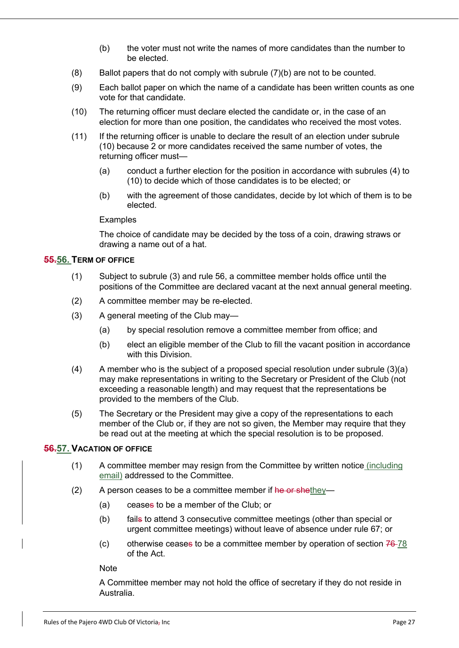- (b) the voter must not write the names of more candidates than the number to be elected.
- (8) Ballot papers that do not comply with subrule (7)(b) are not to be counted.
- (9) Each ballot paper on which the name of a candidate has been written counts as one vote for that candidate.
- (10) The returning officer must declare elected the candidate or, in the case of an election for more than one position, the candidates who received the most votes.
- (11) If the returning officer is unable to declare the result of an election under subrule (10) because 2 or more candidates received the same number of votes, the returning officer must—
	- (a) conduct a further election for the position in accordance with subrules (4) to (10) to decide which of those candidates is to be elected; or
	- (b) with the agreement of those candidates, decide by lot which of them is to be elected.

#### **Examples**

The choice of candidate may be decided by the toss of a coin, drawing straws or drawing a name out of a hat.

#### **55.56. TERM OF OFFICE**

- (1) Subject to subrule (3) and rule 56, a committee member holds office until the positions of the Committee are declared vacant at the next annual general meeting.
- (2) A committee member may be re-elected.
- (3) A general meeting of the Club may—
	- (a) by special resolution remove a committee member from office; and
	- (b) elect an eligible member of the Club to fill the vacant position in accordance with this Division.
- $(4)$  A member who is the subject of a proposed special resolution under subrule  $(3)(a)$ may make representations in writing to the Secretary or President of the Club (not exceeding a reasonable length) and may request that the representations be provided to the members of the Club.
- (5) The Secretary or the President may give a copy of the representations to each member of the Club or, if they are not so given, the Member may require that they be read out at the meeting at which the special resolution is to be proposed.

#### **56.57. VACATION OF OFFICE**

- (1) A committee member may resign from the Committee by written notice (including email) addressed to the Committee.
- (2) A person ceases to be a committee member if  $he$  or shethey-
	- (a) ceases to be a member of the Club; or
	- (b) fails to attend 3 consecutive committee meetings (other than special or urgent committee meetings) without leave of absence under rule 67; or
	- (c) otherwise ceases to be a committee member by operation of section  $76-78$ of the Act.

**Note** 

A Committee member may not hold the office of secretary if they do not reside in Australia.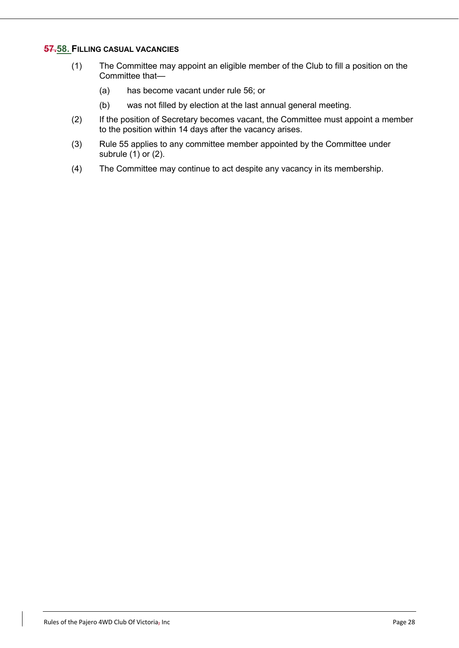#### **57.58. FILLING CASUAL VACANCIES**

- (1) The Committee may appoint an eligible member of the Club to fill a position on the Committee that—
	- (a) has become vacant under rule 56; or
	- (b) was not filled by election at the last annual general meeting.
- (2) If the position of Secretary becomes vacant, the Committee must appoint a member to the position within 14 days after the vacancy arises.
- (3) Rule 55 applies to any committee member appointed by the Committee under subrule (1) or (2).
- (4) The Committee may continue to act despite any vacancy in its membership.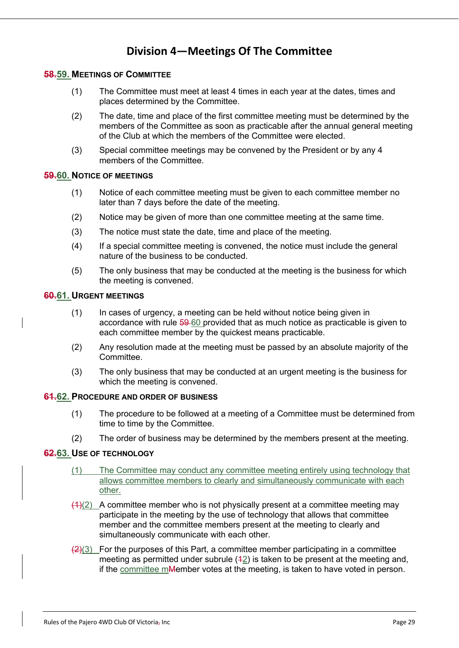### **Division 4—Meetings Of The Committee**

#### **58.59. MEETINGS OF COMMITTEE**

- (1) The Committee must meet at least 4 times in each year at the dates, times and places determined by the Committee.
- (2) The date, time and place of the first committee meeting must be determined by the members of the Committee as soon as practicable after the annual general meeting of the Club at which the members of the Committee were elected.
- (3) Special committee meetings may be convened by the President or by any 4 members of the Committee.

#### **59.60. NOTICE OF MEETINGS**

- (1) Notice of each committee meeting must be given to each committee member no later than 7 days before the date of the meeting.
- (2) Notice may be given of more than one committee meeting at the same time.
- (3) The notice must state the date, time and place of the meeting.
- (4) If a special committee meeting is convened, the notice must include the general nature of the business to be conducted.
- (5) The only business that may be conducted at the meeting is the business for which the meeting is convened.

#### **60.61. URGENT MEETINGS**

- (1) In cases of urgency, a meeting can be held without notice being given in accordance with rule 59 60 provided that as much notice as practicable is given to each committee member by the quickest means practicable.
- (2) Any resolution made at the meeting must be passed by an absolute majority of the Committee.
- (3) The only business that may be conducted at an urgent meeting is the business for which the meeting is convened.

#### **61.62. PROCEDURE AND ORDER OF BUSINESS**

- (1) The procedure to be followed at a meeting of a Committee must be determined from time to time by the Committee.
- (2) The order of business may be determined by the members present at the meeting.

#### **62.63. USE OF TECHNOLOGY**

- (1) The Committee may conduct any committee meeting entirely using technology that allows committee members to clearly and simultaneously communicate with each other.
- $(4)(2)$  A committee member who is not physically present at a committee meeting may participate in the meeting by the use of technology that allows that committee member and the committee members present at the meeting to clearly and simultaneously communicate with each other.
- $\left(\frac{2}{3}\right)$  For the purposes of this Part, a committee member participating in a committee meeting as permitted under subrule  $(42)$  is taken to be present at the meeting and, if the committee mMember votes at the meeting, is taken to have voted in person.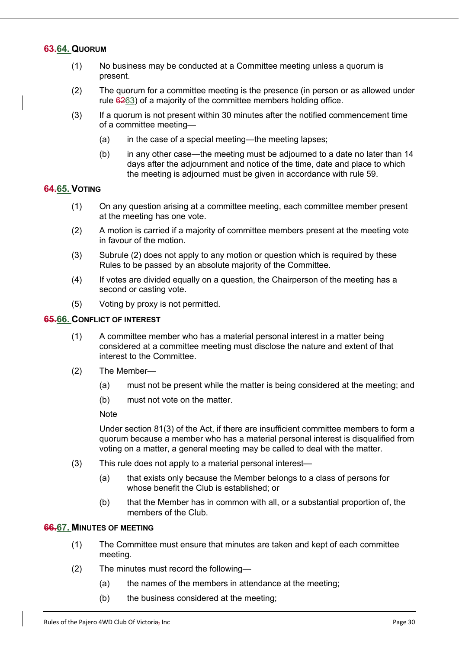#### **63.64. QUORUM**

- (1) No business may be conducted at a Committee meeting unless a quorum is present.
- (2) The quorum for a committee meeting is the presence (in person or as allowed under rule 6263) of a majority of the committee members holding office.
- (3) If a quorum is not present within 30 minutes after the notified commencement time of a committee meeting—
	- (a) in the case of a special meeting—the meeting lapses;
	- (b) in any other case—the meeting must be adjourned to a date no later than 14 days after the adjournment and notice of the time, date and place to which the meeting is adjourned must be given in accordance with rule 59.

#### **64.65. VOTING**

- (1) On any question arising at a committee meeting, each committee member present at the meeting has one vote.
- (2) A motion is carried if a majority of committee members present at the meeting vote in favour of the motion.
- (3) Subrule (2) does not apply to any motion or question which is required by these Rules to be passed by an absolute majority of the Committee.
- (4) If votes are divided equally on a question, the Chairperson of the meeting has a second or casting vote.
- (5) Voting by proxy is not permitted.

#### **65.66. CONFLICT OF INTEREST**

- (1) A committee member who has a material personal interest in a matter being considered at a committee meeting must disclose the nature and extent of that interest to the Committee.
- (2) The Member—
	- (a) must not be present while the matter is being considered at the meeting; and
	- (b) must not vote on the matter.

**Note** 

Under section 81(3) of the Act, if there are insufficient committee members to form a quorum because a member who has a material personal interest is disqualified from voting on a matter, a general meeting may be called to deal with the matter.

- (3) This rule does not apply to a material personal interest—
	- (a) that exists only because the Member belongs to a class of persons for whose benefit the Club is established; or
	- (b) that the Member has in common with all, or a substantial proportion of, the members of the Club.

#### **66.67. MINUTES OF MEETING**

- (1) The Committee must ensure that minutes are taken and kept of each committee meeting.
- (2) The minutes must record the following—
	- (a) the names of the members in attendance at the meeting;
	- (b) the business considered at the meeting;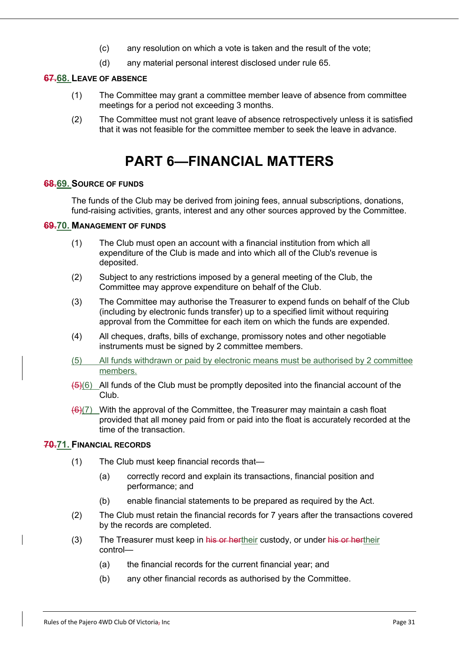- (c) any resolution on which a vote is taken and the result of the vote;
- (d) any material personal interest disclosed under rule 65.

#### **67.68. LEAVE OF ABSENCE**

- (1) The Committee may grant a committee member leave of absence from committee meetings for a period not exceeding 3 months.
- (2) The Committee must not grant leave of absence retrospectively unless it is satisfied that it was not feasible for the committee member to seek the leave in advance.

## **PART 6—FINANCIAL MATTERS**

#### **68.69. SOURCE OF FUNDS**

The funds of the Club may be derived from joining fees, annual subscriptions, donations, fund-raising activities, grants, interest and any other sources approved by the Committee.

#### **69.70. MANAGEMENT OF FUNDS**

- (1) The Club must open an account with a financial institution from which all expenditure of the Club is made and into which all of the Club's revenue is deposited.
- (2) Subject to any restrictions imposed by a general meeting of the Club, the Committee may approve expenditure on behalf of the Club.
- (3) The Committee may authorise the Treasurer to expend funds on behalf of the Club (including by electronic funds transfer) up to a specified limit without requiring approval from the Committee for each item on which the funds are expended.
- (4) All cheques, drafts, bills of exchange, promissory notes and other negotiable instruments must be signed by 2 committee members.
- (5) All funds withdrawn or paid by electronic means must be authorised by 2 committee members.
- $\left(\frac{1}{2}\right)(6)$  All funds of the Club must be promptly deposited into the financial account of the Club.
- $(6)$ (7) With the approval of the Committee, the Treasurer may maintain a cash float provided that all money paid from or paid into the float is accurately recorded at the time of the transaction.

#### **70.71. FINANCIAL RECORDS**

- (1) The Club must keep financial records that—
	- (a) correctly record and explain its transactions, financial position and performance; and
	- (b) enable financial statements to be prepared as required by the Act.
- (2) The Club must retain the financial records for 7 years after the transactions covered by the records are completed.
- (3) The Treasurer must keep in his or hertheir custody, or under his or hertheir control—
	- (a) the financial records for the current financial year; and
	- (b) any other financial records as authorised by the Committee.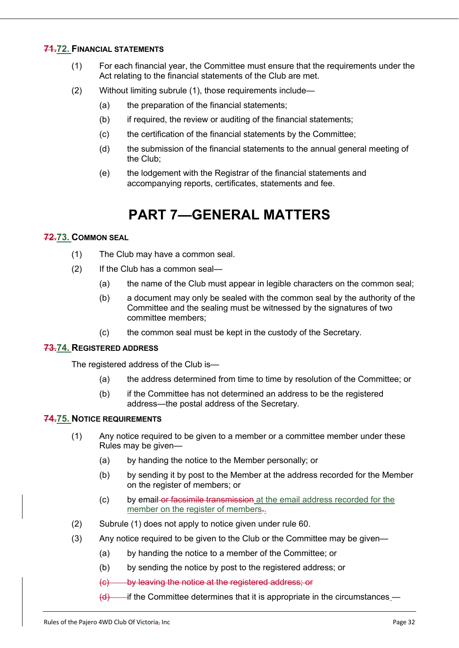#### **71.72. FINANCIAL STATEMENTS**

- (1) For each financial year, the Committee must ensure that the requirements under the Act relating to the financial statements of the Club are met.
- (2) Without limiting subrule (1), those requirements include—
	- (a) the preparation of the financial statements;
	- (b) if required, the review or auditing of the financial statements;
	- (c) the certification of the financial statements by the Committee;
	- (d) the submission of the financial statements to the annual general meeting of the Club;
	- (e) the lodgement with the Registrar of the financial statements and accompanying reports, certificates, statements and fee.

# **PART 7—GENERAL MATTERS**

#### **72.73. COMMON SEAL**

- (1) The Club may have a common seal.
- (2) If the Club has a common seal—
	- (a) the name of the Club must appear in legible characters on the common seal;
	- (b) a document may only be sealed with the common seal by the authority of the Committee and the sealing must be witnessed by the signatures of two committee members;
	- (c) the common seal must be kept in the custody of the Secretary.

#### **73.74. REGISTERED ADDRESS**

The registered address of the Club is—

- (a) the address determined from time to time by resolution of the Committee; or
- (b) if the Committee has not determined an address to be the registered address—the postal address of the Secretary.

#### **74.75. NOTICE REQUIREMENTS**

- (1) Any notice required to be given to a member or a committee member under these Rules may be given—
	- (a) by handing the notice to the Member personally; or
	- (b) by sending it by post to the Member at the address recorded for the Member on the register of members; or
	- (c) by email or facsimile transmission at the email address recorded for the member on the register of members...
- (2) Subrule (1) does not apply to notice given under rule 60.
- (3) Any notice required to be given to the Club or the Committee may be given—
	- (a) by handing the notice to a member of the Committee; or
	- (b) by sending the notice by post to the registered address; or
	- (c) by leaving the notice at the registered address; or
	- $(d)$  if the Committee determines that it is appropriate in the circumstances —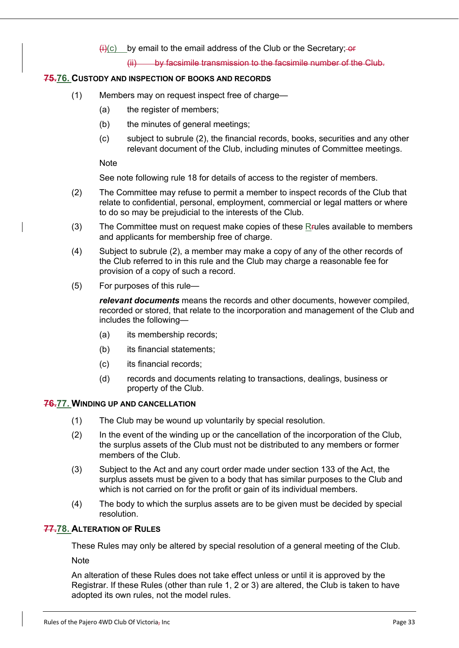$\overline{H}(c)$  by email to the email address of the Club or the Secretary; or

(ii) by facsimile transmission to the facsimile number of the Club.

#### **75.76. CUSTODY AND INSPECTION OF BOOKS AND RECORDS**

- (1) Members may on request inspect free of charge—
	- (a) the register of members;
	- (b) the minutes of general meetings;
	- (c) subject to subrule (2), the financial records, books, securities and any other relevant document of the Club, including minutes of Committee meetings.

**Note** 

See note following rule 18 for details of access to the register of members.

- (2) The Committee may refuse to permit a member to inspect records of the Club that relate to confidential, personal, employment, commercial or legal matters or where to do so may be prejudicial to the interests of the Club.
- (3) The Committee must on request make copies of these Rrules available to members and applicants for membership free of charge.
- (4) Subject to subrule (2), a member may make a copy of any of the other records of the Club referred to in this rule and the Club may charge a reasonable fee for provision of a copy of such a record.
- (5) For purposes of this rule—

*relevant documents* means the records and other documents, however compiled, recorded or stored, that relate to the incorporation and management of the Club and includes the following—

- (a) its membership records;
- (b) its financial statements;
- (c) its financial records;
- (d) records and documents relating to transactions, dealings, business or property of the Club.

#### **76.77. WINDING UP AND CANCELLATION**

- (1) The Club may be wound up voluntarily by special resolution.
- (2) In the event of the winding up or the cancellation of the incorporation of the Club, the surplus assets of the Club must not be distributed to any members or former members of the Club.
- (3) Subject to the Act and any court order made under section 133 of the Act, the surplus assets must be given to a body that has similar purposes to the Club and which is not carried on for the profit or gain of its individual members.
- (4) The body to which the surplus assets are to be given must be decided by special resolution.

#### **77.78. ALTERATION OF RULES**

These Rules may only be altered by special resolution of a general meeting of the Club.

**Note** 

An alteration of these Rules does not take effect unless or until it is approved by the Registrar. If these Rules (other than rule 1, 2 or 3) are altered, the Club is taken to have adopted its own rules, not the model rules.